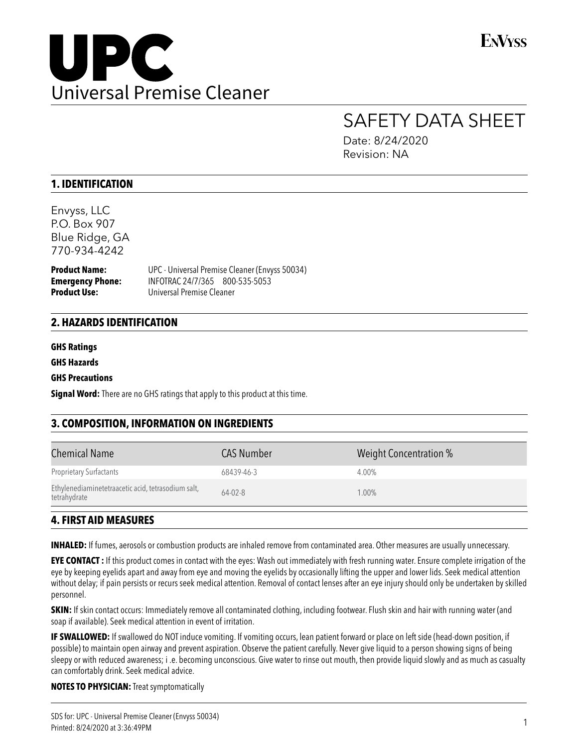

# SAFETY DATA SHEET

Date: 8/24/2020 Revision: NA

# **1. IDENTIFICATION**

Envyss, LLC P.O. Box 907 Blue Ridge, GA 770-934-4242

**Emergency Phone: INFOTRAC 24/7/365 800-535-5053**<br>**Product Use: Universal Premise Cleaner** 

**Product Name:** UPC - Universal Premise Cleaner (Envyss 50034) **Product Use:** Universal Premise Cleaner

### **2. HAZARDS IDENTIFICATION**

#### **GHS Ratings**

**GHS Hazards**

#### **GHS Precautions**

**Signal Word:** There are no GHS ratings that apply to this product at this time.

# **3. COMPOSITION, INFORMATION ON INGREDIENTS**

| <b>Chemical Name</b>                                               | <b>CAS Number</b> | Weight Concentration % |
|--------------------------------------------------------------------|-------------------|------------------------|
| <b>Proprietary Surfactants</b>                                     | 68439-46-3        | 4.00%                  |
| Ethylenediaminetetraacetic acid, tetrasodium salt,<br>tetrahydrate | $64 - 02 - 8$     | $1.00\%$               |

# **4. FIRST AID MEASURES**

**INHALED:** If fumes, aerosols or combustion products are inhaled remove from contaminated area. Other measures are usually unnecessary.

**EYE CONTACT :** If this product comes in contact with the eyes: Wash out immediately with fresh running water. Ensure complete irrigation of the eye by keeping eyelids apart and away from eye and moving the eyelids by occasionally lifting the upper and lower lids. Seek medical attention without delay; if pain persists or recurs seek medical attention. Removal of contact lenses after an eye injury should only be undertaken by skilled personnel.

**SKIN:** If skin contact occurs: Immediately remove all contaminated clothing, including footwear. Flush skin and hair with running water (and soap if available). Seek medical attention in event of irritation.

**IF SWALLOWED:** If swallowed do NOT induce vomiting. If vomiting occurs, lean patient forward or place on left side (head-down position, if possible) to maintain open airway and prevent aspiration. Observe the patient carefully. Never give liquid to a person showing signs of being sleepy or with reduced awareness; i .e. becoming unconscious. Give water to rinse out mouth, then provide liquid slowly and as much as casualty can comfortably drink. Seek medical advice.

**NOTES TO PHYSICIAN:** Treat symptomatically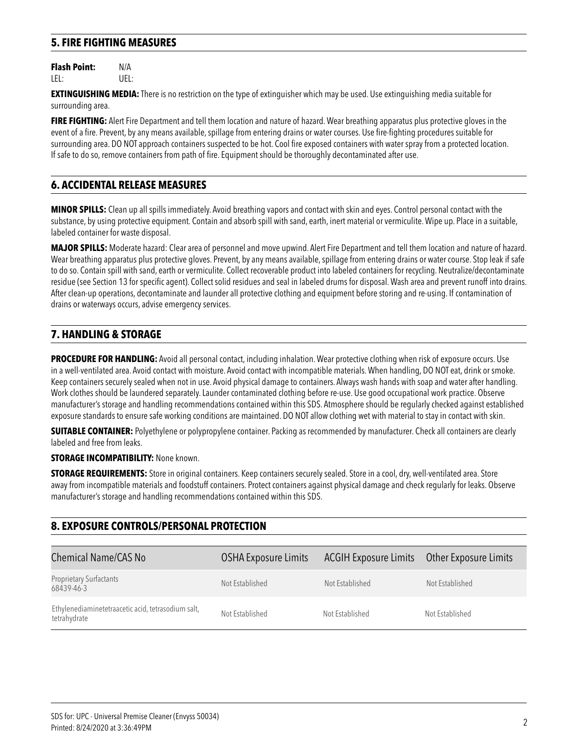# **5. FIRE FIGHTING MEASURES**

**Flash Point:** N/A LEL: UEL:

**EXTINGUISHING MEDIA:** There is no restriction on the type of extinguisher which may be used. Use extinguishing media suitable for surrounding area.

**FIRE FIGHTING:** Alert Fire Department and tell them location and nature of hazard. Wear breathing apparatus plus protective gloves in the event of a fire. Prevent, by any means available, spillage from entering drains or water courses. Use fire-fighting procedures suitable for surrounding area. DO NOT approach containers suspected to be hot. Cool fire exposed containers with water spray from a protected location. If safe to do so, remove containers from path of fire. Equipment should be thoroughly decontaminated after use.

# **6. ACCIDENTAL RELEASE MEASURES**

**MINOR SPILLS:** Clean up all spills immediately. Avoid breathing vapors and contact with skin and eyes. Control personal contact with the substance, by using protective equipment. Contain and absorb spill with sand, earth, inert material or vermiculite. Wipe up. Place in a suitable, labeled container for waste disposal.

**MAJOR SPILLS:** Moderate hazard: Clear area of personnel and move upwind. Alert Fire Department and tell them location and nature of hazard. Wear breathing apparatus plus protective gloves. Prevent, by any means available, spillage from entering drains or water course. Stop leak if safe to do so. Contain spill with sand, earth or vermiculite. Collect recoverable product into labeled containers for recycling. Neutralize/decontaminate residue (see Section 13 for specific agent). Collect solid residues and seal in labeled drums for disposal. Wash area and prevent runoff into drains. After clean-up operations, decontaminate and launder all protective clothing and equipment before storing and re-using. If contamination of drains or waterways occurs, advise emergency services.

# **7. HANDLING & STORAGE**

**PROCEDURE FOR HANDLING:** Avoid all personal contact, including inhalation. Wear protective clothing when risk of exposure occurs. Use in a well-ventilated area. Avoid contact with moisture. Avoid contact with incompatible materials. When handling, DO NOT eat, drink or smoke. Keep containers securely sealed when not in use. Avoid physical damage to containers. Always wash hands with soap and water after handling. Work clothes should be laundered separately. Launder contaminated clothing before re-use. Use good occupational work practice. Observe manufacturer's storage and handling recommendations contained within this SDS. Atmosphere should be regularly checked against established exposure standards to ensure safe working conditions are maintained. DO NOT allow clothing wet with material to stay in contact with skin.

**SUITABLE CONTAINER:** Polyethylene or polypropylene container. Packing as recommended by manufacturer. Check all containers are clearly labeled and free from leaks.

#### **STORAGE INCOMPATIBILITY: None known.**

**STORAGE REQUIREMENTS:** Store in original containers. Keep containers securely sealed. Store in a cool, dry, well-ventilated area. Store away from incompatible materials and foodstuff containers. Protect containers against physical damage and check regularly for leaks. Observe manufacturer's storage and handling recommendations contained within this SDS.

## **8. EXPOSURE CONTROLS/PERSONAL PROTECTION**

| <b>Chemical Name/CAS No</b>                                        | <b>OSHA Exposure Limits</b> | <b>ACGIH Exposure Limits</b> | Other Exposure Limits |
|--------------------------------------------------------------------|-----------------------------|------------------------------|-----------------------|
| <b>Proprietary Surfactants</b><br>68439-46-3                       | Not Established             | Not Established              | Not Established       |
| Ethylenediaminetetraacetic acid, tetrasodium salt,<br>tetrahydrate | Not Established             | Not Established              | Not Established       |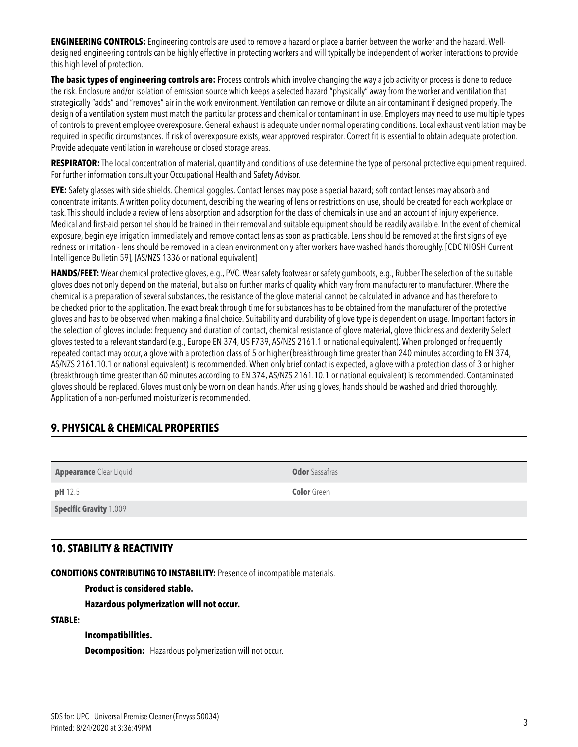**ENGINEERING CONTROLS:** Engineering controls are used to remove a hazard or place a barrier between the worker and the hazard. Welldesigned engineering controls can be highly effective in protecting workers and will typically be independent of worker interactions to provide this high level of protection.

**The basic types of engineering controls are:** Process controls which involve changing the way a job activity or process is done to reduce the risk. Enclosure and/or isolation of emission source which keeps a selected hazard "physically" away from the worker and ventilation that strategically "adds" and "removes" air in the work environment. Ventilation can remove or dilute an air contaminant if designed properly. The design of a ventilation system must match the particular process and chemical or contaminant in use. Employers may need to use multiple types of controls to prevent employee overexposure. General exhaust is adequate under normal operating conditions. Local exhaust ventilation may be required in specific circumstances. If risk of overexposure exists, wear approved respirator. Correct fit is essential to obtain adequate protection. Provide adequate ventilation in warehouse or closed storage areas.

**RESPIRATOR:** The local concentration of material, quantity and conditions of use determine the type of personal protective equipment required. For further information consult your Occupational Health and Safety Advisor.

**EYE:** Safety glasses with side shields. Chemical goggles. Contact lenses may pose a special hazard; soft contact lenses may absorb and concentrate irritants. A written policy document, describing the wearing of lens or restrictions on use, should be created for each workplace or task. This should include a review of lens absorption and adsorption for the class of chemicals in use and an account of injury experience. Medical and first-aid personnel should be trained in their removal and suitable equipment should be readily available. In the event of chemical exposure, begin eye irrigation immediately and remove contact lens as soon as practicable. Lens should be removed at the first signs of eye redness or irritation - lens should be removed in a clean environment only after workers have washed hands thoroughly. [CDC NIOSH Current Intelligence Bulletin 59], [AS/NZS 1336 or national equivalent]

**HANDS/FEET:** Wear chemical protective gloves, e.g., PVC. Wear safety footwear or safety gumboots, e.g., Rubber The selection of the suitable gloves does not only depend on the material, but also on further marks of quality which vary from manufacturer to manufacturer. Where the chemical is a preparation of several substances, the resistance of the glove material cannot be calculated in advance and has therefore to be checked prior to the application. The exact break through time for substances has to be obtained from the manufacturer of the protective gloves and has to be observed when making a final choice. Suitability and durability of glove type is dependent on usage. Important factors in the selection of gloves include: frequency and duration of contact, chemical resistance of glove material, glove thickness and dexterity Select gloves tested to a relevant standard (e.g., Europe EN 374, US F739, AS/NZS 2161.1 or national equivalent). When prolonged or frequently repeated contact may occur, a glove with a protection class of 5 or higher (breakthrough time greater than 240 minutes according to EN 374, AS/NZS 2161.10.1 or national equivalent) is recommended. When only brief contact is expected, a glove with a protection class of 3 or higher (breakthrough time greater than 60 minutes according to EN 374, AS/NZS 2161.10.1 or national equivalent) is recommended. Contaminated gloves should be replaced. Gloves must only be worn on clean hands. After using gloves, hands should be washed and dried thoroughly. Application of a non-perfumed moisturizer is recommended.

# **9. PHYSICAL & CHEMICAL PROPERTIES**

**Appearance** Clear Liquid **Odor Sassafras** 

**Specific Gravity** 1.009

# **10. STABILITY & REACTIVITY**

**CONDITIONS CONTRIBUTING TO INSTABILITY:** Presence of incompatible materials.

### **Product is considered stable.**

 **Hazardous polymerization will not occur.**

#### **STABLE:**

#### **Incompatibilities.**

 **Decomposition:** Hazardous polymerization will not occur.

**pH** 12.5 **Color** Green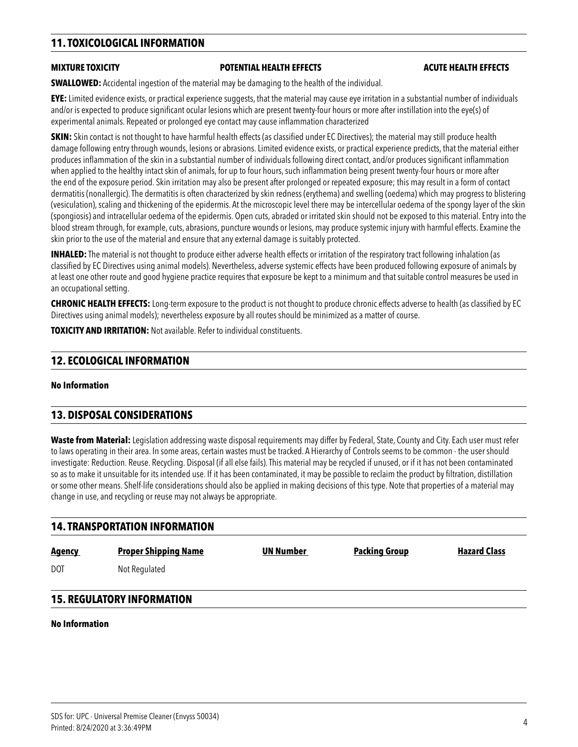# **11. TOXICOLOGICAL INFORMATION**

#### **MIXTURE TOXICITY POTENTIAL HEALTH EFFECTS ACUTE HEALTH EFFECTS**

**SWALLOWED:** Accidental ingestion of the material may be damaging to the health of the individual.

**EYE:** Limited evidence exists, or practical experience suggests, that the material may cause eye irritation in a substantial number of individuals and/or is expected to produce significant ocular lesions which are present twenty-four hours or more after instillation into the eye(s) of experimental animals. Repeated or prolonged eye contact may cause inflammation characterized

**SKIN:** Skin contact is not thought to have harmful health effects (as classified under EC Directives); the material may still produce health damage following entry through wounds, lesions or abrasions. Limited evidence exists, or practical experience predicts, that the material either produces inflammation of the skin in a substantial number of individuals following direct contact, and/or produces significant inflammation when applied to the healthy intact skin of animals, for up to four hours, such inflammation being present twenty-four hours or more after the end of the exposure period. Skin irritation may also be present after prolonged or repeated exposure; this may result in a form of contact dermatitis (nonallergic). The dermatitis is often characterized by skin redness (erythema) and swelling (oedema) which may progress to blistering (vesiculation), scaling and thickening of the epidermis. At the microscopic level there may be intercellular oedema of the spongy layer of the skin (spongiosis) and intracellular oedema of the epidermis. Open cuts, abraded or irritated skin should not be exposed to this material. Entry into the blood stream through, for example, cuts, abrasions, puncture wounds or lesions, may produce systemic injury with harmful effects. Examine the skin prior to the use of the material and ensure that any external damage is suitably protected.

**INHALED:** The material is not thought to produce either adverse health effects or irritation of the respiratory tract following inhalation (as classified by EC Directives using animal models). Nevertheless, adverse systemic effects have been produced following exposure of animals by at least one other route and good hygiene practice requires that exposure be kept to a minimum and that suitable control measures be used in an occupational setting.

**CHRONIC HEALTH EFFECTS:** Long-term exposure to the product is not thought to produce chronic effects adverse to health (as classified by EC Directives using animal models); nevertheless exposure by all routes should be minimized as a matter of course.

**TOXICITY AND IRRITATION:** Not available. Refer to individual constituents.

## **12. ECOLOGICAL INFORMATION**

#### **No Information**

### **13. DISPOSAL CONSIDERATIONS**

**Waste from Material:** Legislation addressing waste disposal requirements may differ by Federal, State, County and City. Each user must refer to laws operating in their area. In some areas, certain wastes must be tracked. A Hierarchy of Controls seems to be common - the user should investigate: Reduction. Reuse. Recycling. Disposal (if all else fails). This material may be recycled if unused, or if it has not been contaminated so as to make it unsuitable for its intended use. If it has been contaminated, it may be possible to reclaim the product by filtration, distillation or some other means. Shelf-life considerations should also be applied in making decisions of this type. Note that properties of a material may change in use, and recycling or reuse may not always be appropriate.

# **14. TRANSPORTATION INFORMATION Agency 19 Agency Proper Shipping Name 19 Agency 19 Agency Packing Group 19 Agency Proper Shipping Name** DOT Not Regulated

# **15. REGULATORY INFORMATION**

#### **No Information**